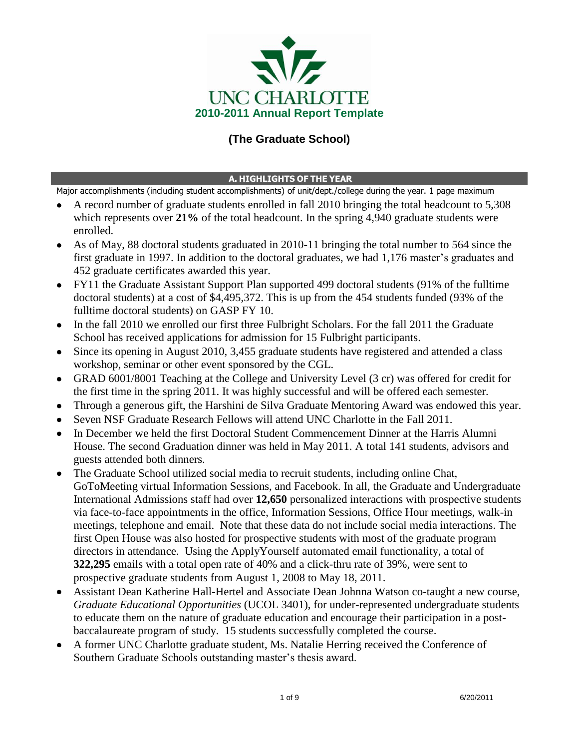

# **(The Graduate School)**

#### **A. HIGHLIGHTS OF THE YEAR**

Major accomplishments (including student accomplishments) of unit/dept./college during the year. 1 page maximum

- A record number of graduate students enrolled in fall 2010 bringing the total headcount to 5,308 which represents over 21% of the total headcount. In the spring 4,940 graduate students were enrolled.
- As of May, 88 doctoral students graduated in 2010-11 bringing the total number to 564 since the first graduate in 1997. In addition to the doctoral graduates, we had 1,176 master's graduates and 452 graduate certificates awarded this year.
- FY11 the Graduate Assistant Support Plan supported 499 doctoral students (91% of the fulltime doctoral students) at a cost of \$4,495,372. This is up from the 454 students funded (93% of the fulltime doctoral students) on GASP FY 10.
- In the fall 2010 we enrolled our first three Fulbright Scholars. For the fall 2011 the Graduate School has received applications for admission for 15 Fulbright participants.
- Since its opening in August 2010, 3,455 graduate students have registered and attended a class workshop, seminar or other event sponsored by the CGL.
- GRAD 6001/8001 Teaching at the College and University Level (3 cr) was offered for credit for the first time in the spring 2011. It was highly successful and will be offered each semester.
- Through a generous gift, the Harshini de Silva Graduate Mentoring Award was endowed this year.
- Seven NSF Graduate Research Fellows will attend UNC Charlotte in the Fall 2011.
- In December we held the first Doctoral Student Commencement Dinner at the Harris Alumni House. The second Graduation dinner was held in May 2011. A total 141 students, advisors and guests attended both dinners.
- The Graduate School utilized social media to recruit students, including online Chat, GoToMeeting virtual Information Sessions, and Facebook. In all, the Graduate and Undergraduate International Admissions staff had over **12,650** personalized interactions with prospective students via face-to-face appointments in the office, Information Sessions, Office Hour meetings, walk-in meetings, telephone and email. Note that these data do not include social media interactions. The first Open House was also hosted for prospective students with most of the graduate program directors in attendance. Using the ApplyYourself automated email functionality, a total of **322,295** emails with a total open rate of 40% and a click-thru rate of 39%, were sent to prospective graduate students from August 1, 2008 to May 18, 2011.
- Assistant Dean Katherine Hall-Hertel and Associate Dean Johnna Watson co-taught a new course, *Graduate Educational Opportunities* (UCOL 3401), for under-represented undergraduate students to educate them on the nature of graduate education and encourage their participation in a postbaccalaureate program of study. 15 students successfully completed the course.
- A former UNC Charlotte graduate student, Ms. Natalie Herring received the Conference of Southern Graduate Schools outstanding master's thesis award.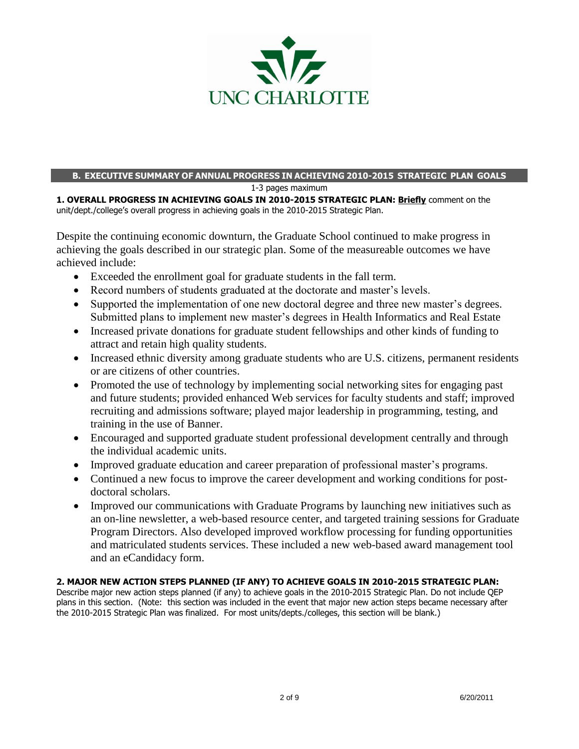

## **B. EXECUTIVE SUMMARY OF ANNUAL PROGRESS IN ACHIEVING 2010-2015 STRATEGIC PLAN GOALS**

1-3 pages maximum

**1. OVERALL PROGRESS IN ACHIEVING GOALS IN 2010-2015 STRATEGIC PLAN: Briefly** comment on the unit/dept./college's overall progress in achieving goals in the 2010-2015 Strategic Plan.

Despite the continuing economic downturn, the Graduate School continued to make progress in achieving the goals described in our strategic plan. Some of the measureable outcomes we have achieved include:

- Exceeded the enrollment goal for graduate students in the fall term.
- Record numbers of students graduated at the doctorate and master's levels.
- Supported the implementation of one new doctoral degree and three new master"s degrees. Submitted plans to implement new master"s degrees in Health Informatics and Real Estate
- Increased private donations for graduate student fellowships and other kinds of funding to attract and retain high quality students.
- Increased ethnic diversity among graduate students who are U.S. citizens, permanent residents or are citizens of other countries.
- Promoted the use of technology by implementing social networking sites for engaging past and future students; provided enhanced Web services for faculty students and staff; improved recruiting and admissions software; played major leadership in programming, testing, and training in the use of Banner.
- Encouraged and supported graduate student professional development centrally and through the individual academic units.
- Improved graduate education and career preparation of professional master"s programs.
- Continued a new focus to improve the career development and working conditions for postdoctoral scholars.
- Improved our communications with Graduate Programs by launching new initiatives such as an on-line newsletter, a web-based resource center, and targeted training sessions for Graduate Program Directors. Also developed improved workflow processing for funding opportunities and matriculated students services. These included a new web-based award management tool and an eCandidacy form.

#### **2. MAJOR NEW ACTION STEPS PLANNED (IF ANY) TO ACHIEVE GOALS IN 2010-2015 STRATEGIC PLAN:**

Describe major new action steps planned (if any) to achieve goals in the 2010-2015 Strategic Plan. Do not include QEP plans in this section. (Note: this section was included in the event that major new action steps became necessary after the 2010-2015 Strategic Plan was finalized. For most units/depts./colleges, this section will be blank.)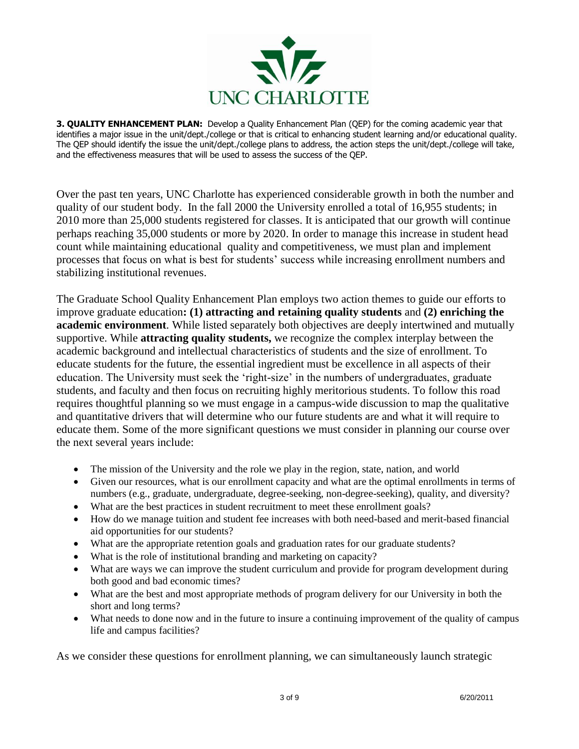

**3. QUALITY ENHANCEMENT PLAN:** Develop a Quality Enhancement Plan (QEP) for the coming academic year that identifies a major issue in the unit/dept./college or that is critical to enhancing student learning and/or educational quality. The QEP should identify the issue the unit/dept./college plans to address, the action steps the unit/dept./college will take, and the effectiveness measures that will be used to assess the success of the QEP.

Over the past ten years, UNC Charlotte has experienced considerable growth in both the number and quality of our student body. In the fall 2000 the University enrolled a total of 16,955 students; in 2010 more than 25,000 students registered for classes. It is anticipated that our growth will continue perhaps reaching 35,000 students or more by 2020. In order to manage this increase in student head count while maintaining educational quality and competitiveness, we must plan and implement processes that focus on what is best for students" success while increasing enrollment numbers and stabilizing institutional revenues.

The Graduate School Quality Enhancement Plan employs two action themes to guide our efforts to improve graduate education**: (1) attracting and retaining quality students** and **(2) enriching the academic environment**. While listed separately both objectives are deeply intertwined and mutually supportive. While **attracting quality students,** we recognize the complex interplay between the academic background and intellectual characteristics of students and the size of enrollment. To educate students for the future, the essential ingredient must be excellence in all aspects of their education. The University must seek the "right-size" in the numbers of undergraduates, graduate students, and faculty and then focus on recruiting highly meritorious students. To follow this road requires thoughtful planning so we must engage in a campus-wide discussion to map the qualitative and quantitative drivers that will determine who our future students are and what it will require to educate them. Some of the more significant questions we must consider in planning our course over the next several years include:

- The mission of the University and the role we play in the region, state, nation, and world
- Given our resources, what is our enrollment capacity and what are the optimal enrollments in terms of numbers (e.g., graduate, undergraduate, degree-seeking, non-degree-seeking), quality, and diversity?
- What are the best practices in student recruitment to meet these enrollment goals?
- How do we manage tuition and student fee increases with both need-based and merit-based financial aid opportunities for our students?
- What are the appropriate retention goals and graduation rates for our graduate students?
- What is the role of institutional branding and marketing on capacity?
- What are ways we can improve the student curriculum and provide for program development during both good and bad economic times?
- What are the best and most appropriate methods of program delivery for our University in both the short and long terms?
- What needs to done now and in the future to insure a continuing improvement of the quality of campus life and campus facilities?

As we consider these questions for enrollment planning, we can simultaneously launch strategic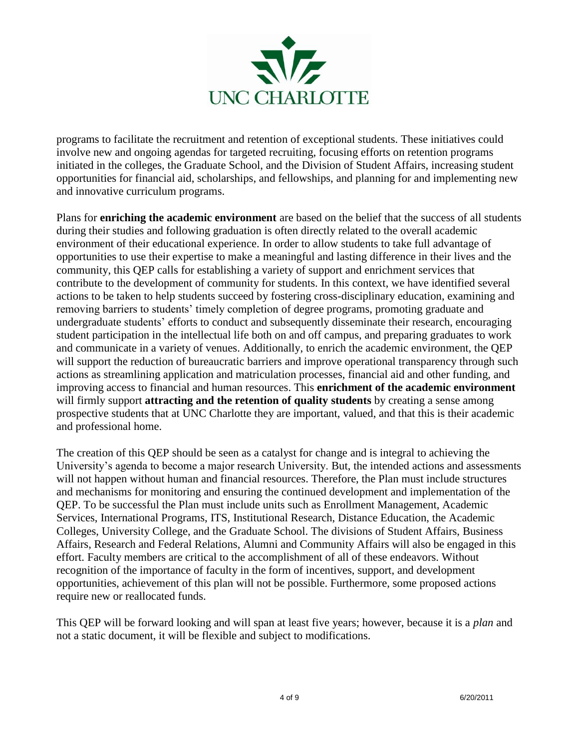

programs to facilitate the recruitment and retention of exceptional students. These initiatives could involve new and ongoing agendas for targeted recruiting, focusing efforts on retention programs initiated in the colleges, the Graduate School, and the Division of Student Affairs, increasing student opportunities for financial aid, scholarships, and fellowships, and planning for and implementing new and innovative curriculum programs.

Plans for **enriching the academic environment** are based on the belief that the success of all students during their studies and following graduation is often directly related to the overall academic environment of their educational experience. In order to allow students to take full advantage of opportunities to use their expertise to make a meaningful and lasting difference in their lives and the community, this QEP calls for establishing a variety of support and enrichment services that contribute to the development of community for students. In this context, we have identified several actions to be taken to help students succeed by fostering cross-disciplinary education, examining and removing barriers to students' timely completion of degree programs, promoting graduate and undergraduate students' efforts to conduct and subsequently disseminate their research, encouraging student participation in the intellectual life both on and off campus, and preparing graduates to work and communicate in a variety of venues. Additionally, to enrich the academic environment, the QEP will support the reduction of bureaucratic barriers and improve operational transparency through such actions as streamlining application and matriculation processes, financial aid and other funding, and improving access to financial and human resources. This **enrichment of the academic environment** will firmly support **attracting and the retention of quality students** by creating a sense among prospective students that at UNC Charlotte they are important, valued, and that this is their academic and professional home.

The creation of this QEP should be seen as a catalyst for change and is integral to achieving the University"s agenda to become a major research University. But, the intended actions and assessments will not happen without human and financial resources. Therefore, the Plan must include structures and mechanisms for monitoring and ensuring the continued development and implementation of the QEP. To be successful the Plan must include units such as Enrollment Management, Academic Services, International Programs, ITS, Institutional Research, Distance Education, the Academic Colleges, University College, and the Graduate School. The divisions of Student Affairs, Business Affairs, Research and Federal Relations, Alumni and Community Affairs will also be engaged in this effort. Faculty members are critical to the accomplishment of all of these endeavors. Without recognition of the importance of faculty in the form of incentives, support, and development opportunities, achievement of this plan will not be possible. Furthermore, some proposed actions require new or reallocated funds.

This QEP will be forward looking and will span at least five years; however, because it is a *plan* and not a static document, it will be flexible and subject to modifications.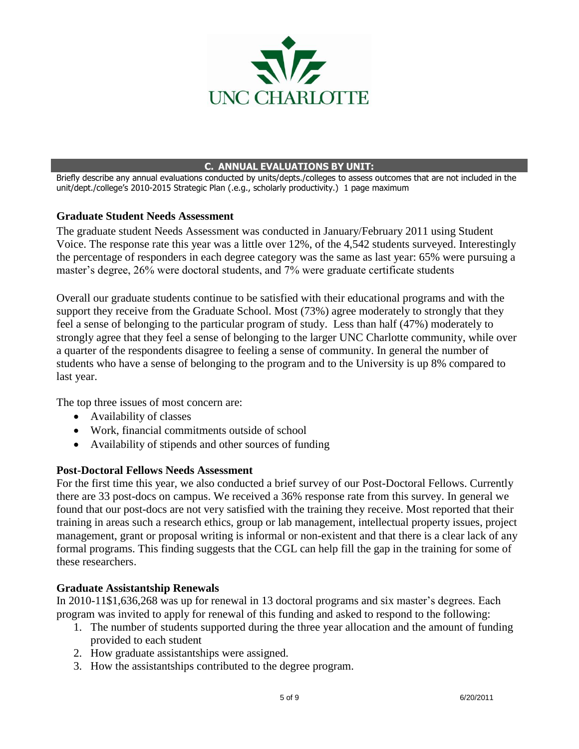

#### **C. ANNUAL EVALUATIONS BY UNIT:**

Briefly describe any annual evaluations conducted by units/depts./colleges to assess outcomes that are not included in the unit/dept./college's 2010-2015 Strategic Plan (.e.g., scholarly productivity.) 1 page maximum

#### **Graduate Student Needs Assessment**

The graduate student Needs Assessment was conducted in January/February 2011 using Student Voice. The response rate this year was a little over 12%, of the 4,542 students surveyed. Interestingly the percentage of responders in each degree category was the same as last year: 65% were pursuing a master's degree, 26% were doctoral students, and 7% were graduate certificate students

Overall our graduate students continue to be satisfied with their educational programs and with the support they receive from the Graduate School. Most (73%) agree moderately to strongly that they feel a sense of belonging to the particular program of study. Less than half (47%) moderately to strongly agree that they feel a sense of belonging to the larger UNC Charlotte community, while over a quarter of the respondents disagree to feeling a sense of community. In general the number of students who have a sense of belonging to the program and to the University is up 8% compared to last year.

The top three issues of most concern are:

- Availability of classes
- Work, financial commitments outside of school
- Availability of stipends and other sources of funding

#### **Post-Doctoral Fellows Needs Assessment**

For the first time this year, we also conducted a brief survey of our Post-Doctoral Fellows. Currently there are 33 post-docs on campus. We received a 36% response rate from this survey. In general we found that our post-docs are not very satisfied with the training they receive. Most reported that their training in areas such a research ethics, group or lab management, intellectual property issues, project management, grant or proposal writing is informal or non-existent and that there is a clear lack of any formal programs. This finding suggests that the CGL can help fill the gap in the training for some of these researchers.

#### **Graduate Assistantship Renewals**

In 2010-11\$1,636,268 was up for renewal in 13 doctoral programs and six master"s degrees. Each program was invited to apply for renewal of this funding and asked to respond to the following:

- 1. The number of students supported during the three year allocation and the amount of funding provided to each student
- 2. How graduate assistantships were assigned.
- 3. How the assistantships contributed to the degree program.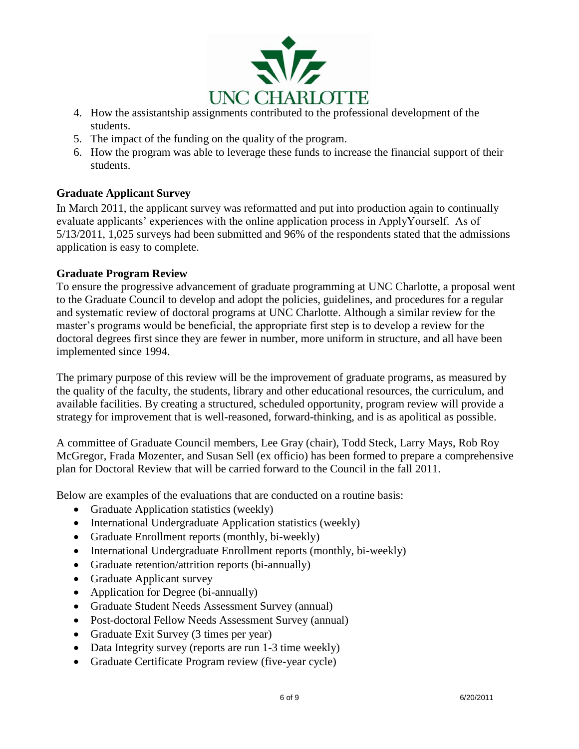

- 4. How the assistantship assignments contributed to the professional development of the students.
- 5. The impact of the funding on the quality of the program.
- 6. How the program was able to leverage these funds to increase the financial support of their students.

## **Graduate Applicant Survey**

In March 2011, the applicant survey was reformatted and put into production again to continually evaluate applicants" experiences with the online application process in ApplyYourself. As of 5/13/2011, 1,025 surveys had been submitted and 96% of the respondents stated that the admissions application is easy to complete.

## **Graduate Program Review**

To ensure the progressive advancement of graduate programming at UNC Charlotte, a proposal went to the Graduate Council to develop and adopt the policies, guidelines, and procedures for a regular and systematic review of doctoral programs at UNC Charlotte. Although a similar review for the master's programs would be beneficial, the appropriate first step is to develop a review for the doctoral degrees first since they are fewer in number, more uniform in structure, and all have been implemented since 1994.

The primary purpose of this review will be the improvement of graduate programs, as measured by the quality of the faculty, the students, library and other educational resources, the curriculum, and available facilities. By creating a structured, scheduled opportunity, program review will provide a strategy for improvement that is well-reasoned, forward-thinking, and is as apolitical as possible.

A committee of Graduate Council members, Lee Gray (chair), Todd Steck, Larry Mays, Rob Roy McGregor, Frada Mozenter, and Susan Sell (ex officio) has been formed to prepare a comprehensive plan for Doctoral Review that will be carried forward to the Council in the fall 2011.

Below are examples of the evaluations that are conducted on a routine basis:

- Graduate Application statistics (weekly)
- International Undergraduate Application statistics (weekly)
- Graduate Enrollment reports (monthly, bi-weekly)
- International Undergraduate Enrollment reports (monthly, bi-weekly)
- Graduate retention/attrition reports (bi-annually)
- Graduate Applicant survey
- Application for Degree (bi-annually)
- Graduate Student Needs Assessment Survey (annual)
- Post-doctoral Fellow Needs Assessment Survey (annual)
- Graduate Exit Survey (3 times per year)
- Data Integrity survey (reports are run 1-3 time weekly)
- Graduate Certificate Program review (five-year cycle)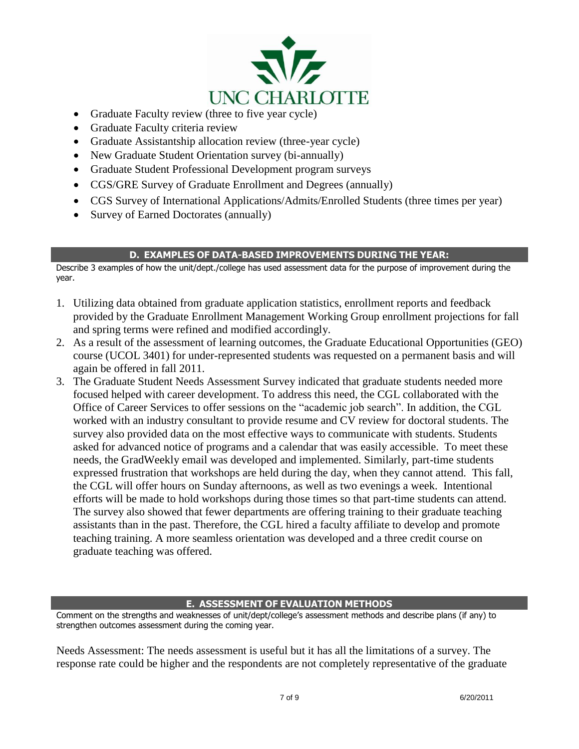

- Graduate Faculty review (three to five year cycle)
- Graduate Faculty criteria review
- Graduate Assistantship allocation review (three-year cycle)
- New Graduate Student Orientation survey (bi-annually)
- Graduate Student Professional Development program surveys
- CGS/GRE Survey of Graduate Enrollment and Degrees (annually)
- CGS Survey of International Applications/Admits/Enrolled Students (three times per year)
- Survey of Earned Doctorates (annually)

### **D. EXAMPLES OF DATA-BASED IMPROVEMENTS DURING THE YEAR:**

Describe 3 examples of how the unit/dept./college has used assessment data for the purpose of improvement during the year.

- 1. Utilizing data obtained from graduate application statistics, enrollment reports and feedback provided by the Graduate Enrollment Management Working Group enrollment projections for fall and spring terms were refined and modified accordingly.
- 2. As a result of the assessment of learning outcomes, the Graduate Educational Opportunities (GEO) course (UCOL 3401) for under-represented students was requested on a permanent basis and will again be offered in fall 2011.
- 3. The Graduate Student Needs Assessment Survey indicated that graduate students needed more focused helped with career development. To address this need, the CGL collaborated with the Office of Career Services to offer sessions on the "academic job search". In addition, the CGL worked with an industry consultant to provide resume and CV review for doctoral students. The survey also provided data on the most effective ways to communicate with students. Students asked for advanced notice of programs and a calendar that was easily accessible. To meet these needs, the GradWeekly email was developed and implemented. Similarly, part-time students expressed frustration that workshops are held during the day, when they cannot attend. This fall, the CGL will offer hours on Sunday afternoons, as well as two evenings a week. Intentional efforts will be made to hold workshops during those times so that part-time students can attend. The survey also showed that fewer departments are offering training to their graduate teaching assistants than in the past. Therefore, the CGL hired a faculty affiliate to develop and promote teaching training. A more seamless orientation was developed and a three credit course on graduate teaching was offered.

## **E. ASSESSMENT OF EVALUATION METHODS**

Comment on the strengths and weaknesses of unit/dept/college's assessment methods and describe plans (if any) to strengthen outcomes assessment during the coming year.

Needs Assessment: The needs assessment is useful but it has all the limitations of a survey. The response rate could be higher and the respondents are not completely representative of the graduate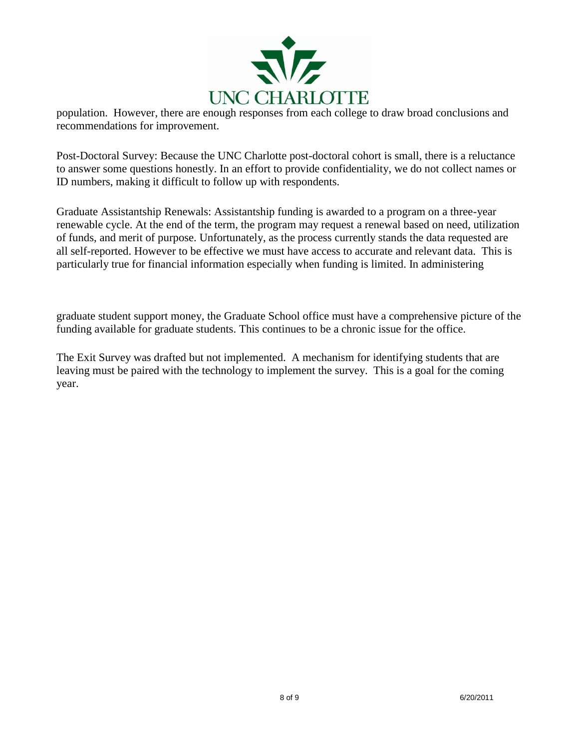

population. However, there are enough responses from each college to draw broad conclusions and recommendations for improvement.

Post-Doctoral Survey: Because the UNC Charlotte post-doctoral cohort is small, there is a reluctance to answer some questions honestly. In an effort to provide confidentiality, we do not collect names or ID numbers, making it difficult to follow up with respondents.

Graduate Assistantship Renewals: Assistantship funding is awarded to a program on a three-year renewable cycle. At the end of the term, the program may request a renewal based on need, utilization of funds, and merit of purpose. Unfortunately, as the process currently stands the data requested are all self-reported. However to be effective we must have access to accurate and relevant data. This is particularly true for financial information especially when funding is limited. In administering

graduate student support money, the Graduate School office must have a comprehensive picture of the funding available for graduate students. This continues to be a chronic issue for the office.

The Exit Survey was drafted but not implemented. A mechanism for identifying students that are leaving must be paired with the technology to implement the survey. This is a goal for the coming year.